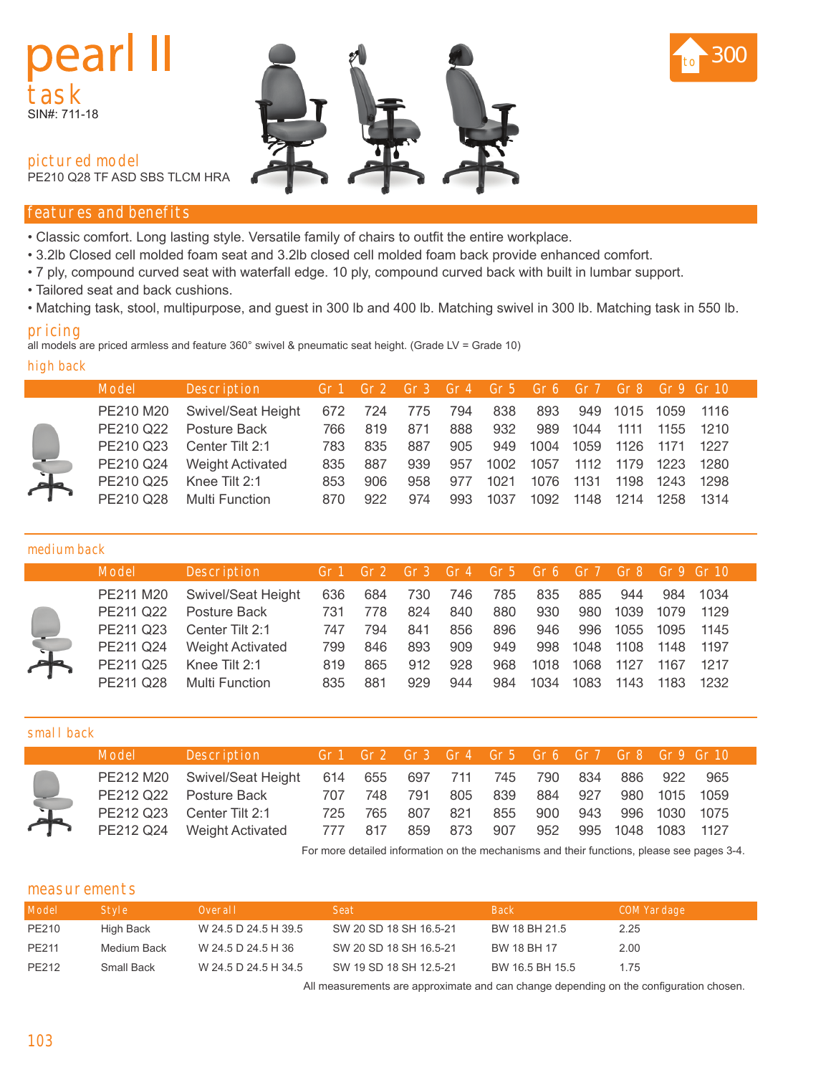# dear **task** SIN#: 711-18



**pictured model**

PE210 Q28 TF ASD SBS TLCM HRA

# **features and benefits**

- Classic comfort. Long lasting style. Versatile family of chairs to outfit the entire workplace.
- 3.2lb Closed cell molded foam seat and 3.2lb closed cell molded foam back provide enhanced comfort.
- 7 ply, compound curved seat with waterfall edge. 10 ply, compound curved back with built in lumbar support.
- Tailored seat and back cushions.
- Matching task, stool, multipurpose, and guest in 300 lb and 400 lb. Matching swivel in 300 lb. Matching task in 550 lb.

# **pricing**

all models are priced armless and feature 360° swivel & pneumatic seat height. (Grade LV = Grade 10)

#### **high back**

|   | <b>Model</b> | <b>Description</b>         |     |     |     |     | Gr1 Gr2 Gr3 Gr4 Gr5 Gr6 Gr7 Gr8 Gr9 Gr10 |      |      |                   |           |      |
|---|--------------|----------------------------|-----|-----|-----|-----|------------------------------------------|------|------|-------------------|-----------|------|
|   | PE210 M20    | Swivel/Seat Height         | 672 | 724 | 775 | 794 | 838                                      |      |      | 893 949 1015 1059 |           | 1116 |
|   | PE210 Q22    | Posture Back               | 766 | 819 | 871 | 888 | 932                                      | 989  | 1044 | 1111              | 1155 1210 |      |
|   | PE210 Q23    | Center Tilt 2:1            | 783 | 835 | 887 | 905 | 949                                      | 1004 | 1059 | 1126 1171 1227    |           |      |
|   |              | PE210 Q24 Weight Activated | 835 | 887 | 939 | 957 | 1002                                     | 1057 | 1112 | 1179              | 1223      | 1280 |
| 工 | PE210 Q25    | Knee Tilt 2:1              | 853 | 906 | 958 | 977 | 1021                                     | 1076 | 1131 | 1198              | 1243      | 1298 |
|   | PE210 Q28    | <b>Multi Function</b>      | 870 | 922 | 974 | 993 | 1037                                     | 1092 | 1148 | 1214              | 1258      | 1314 |

#### **medium back**

| <b>Model</b> | <b>Description</b>      |     |     | Gr1 Gr2 Gr3 Gr4 Gr5 Gr6 Gr7 Gr8 Gr9 Gr10 |     |     |      |      |      |      |        |  |
|--------------|-------------------------|-----|-----|------------------------------------------|-----|-----|------|------|------|------|--------|--|
| PE211 M20    | Swivel/Seat Height      | 636 | 684 | 730                                      | 746 | 785 | 835  | 885  | 944  | 984  | -1034  |  |
| PE211 Q22    | Posture Back            | 731 | 778 | 824                                      | 840 | 880 | 930  | 980  | 1039 | 1079 | 1129   |  |
| PE211 Q23    | Center Tilt 2:1         | 747 | 794 | 841                                      | 856 | 896 | 946  | 996  | 1055 | 1095 | - 1145 |  |
| PE211 Q24    | <b>Weight Activated</b> | 799 | 846 | 893                                      | 909 | 949 | 998  | 1048 | 1108 | 1148 | 1197   |  |
| PE211 Q25    | Knee Tilt 2:1           | 819 | 865 | 912                                      | 928 | 968 | 1018 | 1068 | 1127 | 1167 | 1217   |  |
| PE211 Q28    | <b>Multi Function</b>   | 835 | 881 | 929                                      | 944 | 984 | 1034 | 1083 | 1143 | 1183 | 1232   |  |

| small back           |              |                                    |     |     |             |     |                                          |     |     |          |      |        |
|----------------------|--------------|------------------------------------|-----|-----|-------------|-----|------------------------------------------|-----|-----|----------|------|--------|
|                      | <b>Model</b> | Description                        |     |     |             |     | Gr1 Gr2 Gr3 Gr4 Gr5 Gr6 Gr7 Gr8 Gr9 Gr10 |     |     |          |      |        |
|                      |              | PE212 M20 Swivel/Seat Height       | 614 |     | 655 697 711 |     | 745                                      | 790 | 834 | - 886    | 922  | 965    |
|                      |              | PE212 Q22 Posture Back             | 707 | 748 | 791         | 805 | 839                                      | 884 | 927 | 980      | 1015 | 1059   |
| $\frac{1}{\sqrt{2}}$ |              | PE212 Q23 Center Tilt 2:1 725      |     | 765 | 807         | 821 | 855                                      | 900 | 943 | 996      | 1030 | 1075   |
|                      |              | PE212 Q24 Weight Activated 777 817 |     |     | 859         | 873 | 907                                      | 952 |     | 995 1048 | 1083 | - 1127 |

For more detailed information on the mechanisms and their functions, please see pages 3-4.

## **measurements**

| <b>Model</b> | <b>Style</b> | Overall              | <b>Seat</b>            | <b>Back</b>     | <b>COM Yardage</b> |
|--------------|--------------|----------------------|------------------------|-----------------|--------------------|
| PE210        | High Back    | W 24.5 D 24.5 H 39.5 | SW 20 SD 18 SH 16.5-21 | BW 18 BH 21.5   | 2.25               |
| PE211        | Medium Back  | W 24.5 D 24.5 H 36   | SW 20 SD 18 SH 16.5-21 | BW 18 BH 17     | 2.00               |
| PE212        | Small Back   | W 24.5 D 24.5 H 34.5 | SW 19 SD 18 SH 12.5-21 | BW 16.5 BH 15.5 | 1.75               |

All measurements are approximate and can change depending on the configuration chosen.